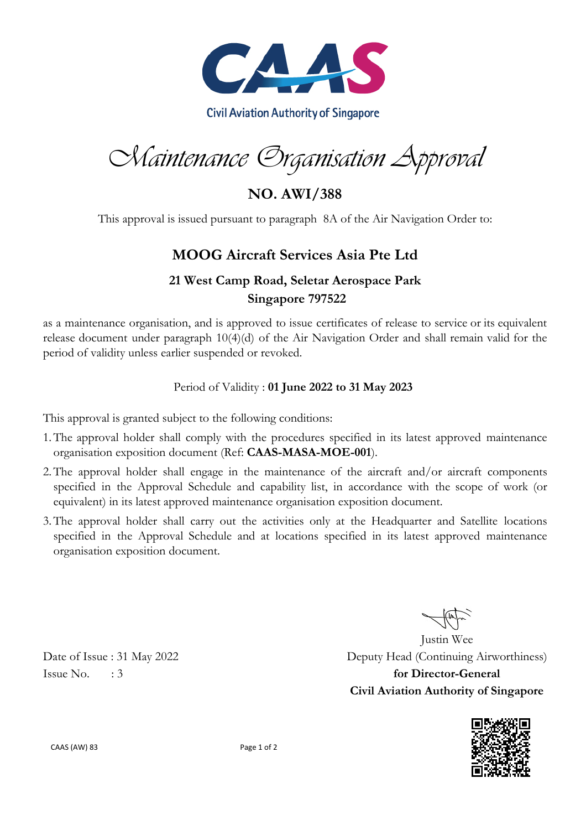

Maintenance Organisation Approval

**NO. AWI/388**

This approval is issued pursuant to paragraph 8A of the Air Navigation Order to:

# **MOOG Aircraft Services Asia Pte Ltd**

## **21 West Camp Road, Seletar Aerospace Park Singapore 797522**

as a maintenance organisation, and is approved to issue certificates of release to service or its equivalent release document under paragraph 10(4)(d) of the Air Navigation Order and shall remain valid for the period of validity unless earlier suspended or revoked.

#### Period of Validity : **01 June 2022 to 31 May 2023**

This approval is granted subject to the following conditions:

- 1.The approval holder shall comply with the procedures specified in its latest approved maintenance organisation exposition document (Ref: **CAAS-MASA-MOE-001**).
- 2.The approval holder shall engage in the maintenance of the aircraft and/or aircraft components specified in the Approval Schedule and capability list, in accordance with the scope of work (or equivalent) in its latest approved maintenance organisation exposition document.
- 3.The approval holder shall carry out the activities only at the Headquarter and Satellite locations specified in the Approval Schedule and at locations specified in its latest approved maintenance organisation exposition document.

Justin Wee Date of Issue : 31 May 2022 Deputy Head (Continuing Airworthiness) Issue No. : 3 **for Director-General Civil Aviation Authority of Singapore**



CAAS (AW) 83 Page 1 of 2